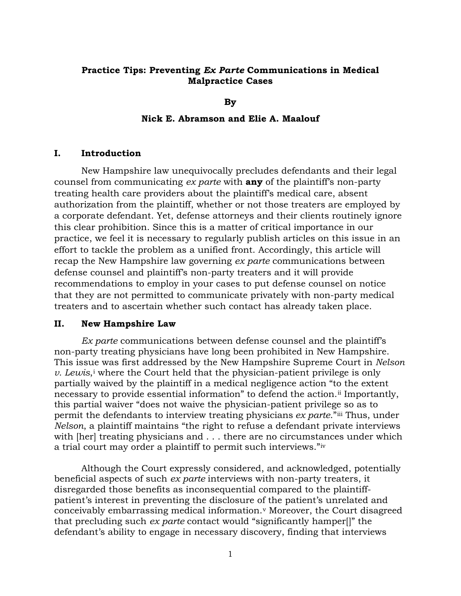# **Practice Tips: Preventing** *Ex Parte* **Communications in Medical Malpractice Cases**

**By** 

## **Nick E. Abramson and Elie A. Maalouf**

### **I. Introduction**

New Hampshire law unequivocally precludes defendants and their legal counsel from communicating *ex parte* with **any** of the plaintiff's non-party treating health care providers about the plaintiff's medical care, absent authorization from the plaintiff, whether or not those treaters are employed by a corporate defendant. Yet, defense attorneys and their clients routinely ignore this clear prohibition. Since this is a matter of critical importance in our practice, we feel it is necessary to regularly publish articles on this issue in an effort to tackle the problem as a unified front. Accordingly, this article will recap the New Hampshire law governing *ex parte* communications between defense counsel and plaintiff's non-party treaters and it will provide recommendations to employ in your cases to put defense counsel on notice that they are not permitted to communicate privately with non-party medical treaters and to ascertain whether such contact has already taken place.

#### **II. New Hampshire Law**

*Ex parte* communications between defense counsel and the plaintiff's non-party treating physicians have long been prohibited in New Hampshire. This issue was first addressed by the New Hampshire Supreme Court in *Nelson v. Lew[i](#page-3-0)s*,<sup>*i*</sup> where the Court held that the physician-patient privilege is only partially waived by the plaintiff in a medical negligence action "to the extent necessary to provide essential information" to defend the action.<sup>[ii](#page-3-1)</sup> Importantly, this partial waiver "does not waive the physician-patient privilege so as to permit the defendants to interview treating physicians *ex parte*."[iii](#page-3-2) Thus, under *Nelson*, a plaintiff maintains "the right to refuse a defendant private interviews with [her] treating physicians and . . . there are no circumstances under which a trial court may order a plaintiff to permit such interviews."[iv](#page-3-3)

Although the Court expressly considered, and acknowledged, potentially beneficial aspects of such *ex parte* interviews with non-party treaters, it disregarded those benefits as inconsequential compared to the plaintiffpatient's interest in preventing the disclosure of the patient's unrelated and conceivably embarrassing medical information.[v](#page-3-4) Moreover, the Court disagreed that precluding such *ex parte* contact would "significantly hamper[]" the defendant's ability to engage in necessary discovery, finding that interviews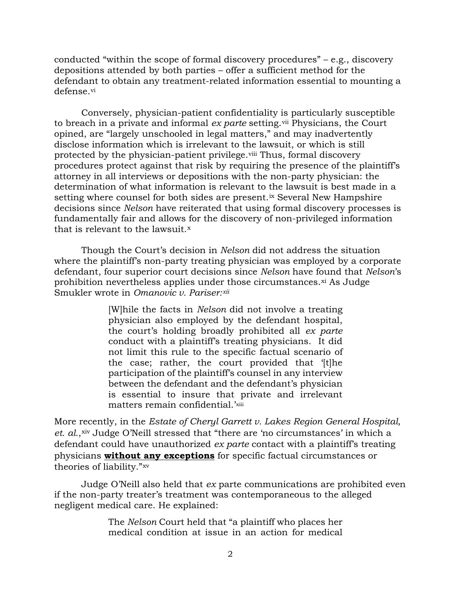conducted "within the scope of formal discovery procedures" – e.g., discovery depositions attended by both parties – offer a sufficient method for the defendant to obtain any treatment-related information essential to mounting a defense.<sup>[vi](#page-3-5)</sup>

Conversely, physician-patient confidentiality is particularly susceptible to breach in a private and informal *ex parte* setting.<sup>[vii](#page-3-6)</sup> Physicians, the Court opined, are "largely unschooled in legal matters," and may inadvertently disclose information which is irrelevant to the lawsuit, or which is still protected by the physician-patient privilege.[viii](#page-3-7) Thus, formal discovery procedures protect against that risk by requiring the presence of the plaintiff's attorney in all interviews or depositions with the non-party physician: the determination of what information is relevant to the lawsuit is best made in a setting where counsel for both sides are present.<sup>[ix](#page-3-8)</sup> Several New Hampshire decisions since *Nelson* have reiterated that using formal discovery processes is fundamentally fair and allows for the discovery of non-privileged information that is relevant to the lawsuit.<sup>[x](#page-3-9)</sup>

Though the Court's decision in *Nelson* did not address the situation where the plaintiff's non-party treating physician was employed by a corporate defendant, four superior court decisions since *Nelson* have found that *Nelson*'s prohibition nevertheless applies under those circumstances.<sup>[xi](#page-3-10)</sup> As Judge Smukler wrote in *Omanovic v. Pariser:[xii](#page-3-11)*

> [W]hile the facts in *Nelson* did not involve a treating physician also employed by the defendant hospital, the court's holding broadly prohibited all *ex parte* conduct with a plaintiff's treating physicians. It did not limit this rule to the specific factual scenario of the case; rather, the court provided that '[t]he participation of the plaintiff's counsel in any interview between the defendant and the defendant's physician is essential to insure that private and irrelevant matters remain confidential.'[xiii](#page-3-12)

More recently, in the *Estate of Cheryl Garrett v. Lakes Region General Hospital,*  et. al., [xiv](#page-3-13) Judge O'Neill stressed that "there are 'no circumstances' in which a defendant could have unauthorized *ex parte* contact with a plaintiff's treating physicians **without any exceptions** for specific factual circumstances or theories of liability."[xv](#page-3-14)

Judge O'Neill also held that *ex* parte communications are prohibited even if the non-party treater's treatment was contemporaneous to the alleged negligent medical care. He explained:

> The *Nelson* Court held that "a plaintiff who places her medical condition at issue in an action for medical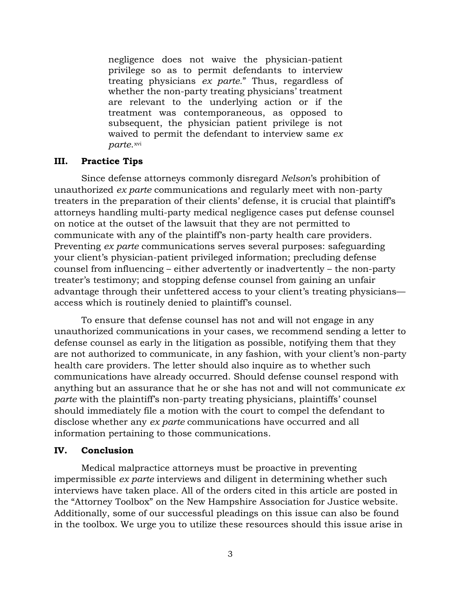negligence does not waive the physician-patient privilege so as to permit defendants to interview treating physicians *ex parte.*" Thus, regardless of whether the non-party treating physicians' treatment are relevant to the underlying action or if the treatment was contemporaneous, as opposed to subsequent, the physician patient privilege is not waived to permit the defendant to interview same *ex parte*. [xvi](#page-3-15)

## **III. Practice Tips**

Since defense attorneys commonly disregard *Nelson*'s prohibition of unauthorized *ex parte* communications and regularly meet with non-party treaters in the preparation of their clients' defense, it is crucial that plaintiff's attorneys handling multi-party medical negligence cases put defense counsel on notice at the outset of the lawsuit that they are not permitted to communicate with any of the plaintiff's non-party health care providers. Preventing *ex parte* communications serves several purposes: safeguarding your client's physician-patient privileged information; precluding defense counsel from influencing – either advertently or inadvertently – the non-party treater's testimony; and stopping defense counsel from gaining an unfair advantage through their unfettered access to your client's treating physicians access which is routinely denied to plaintiff's counsel.

To ensure that defense counsel has not and will not engage in any unauthorized communications in your cases, we recommend sending a letter to defense counsel as early in the litigation as possible, notifying them that they are not authorized to communicate, in any fashion, with your client's non-party health care providers. The letter should also inquire as to whether such communications have already occurred. Should defense counsel respond with anything but an assurance that he or she has not and will not communicate *ex parte* with the plaintiff's non-party treating physicians, plaintiffs' counsel should immediately file a motion with the court to compel the defendant to disclose whether any *ex parte* communications have occurred and all information pertaining to those communications.

### **IV. Conclusion**

Medical malpractice attorneys must be proactive in preventing impermissible *ex parte* interviews and diligent in determining whether such interviews have taken place. All of the orders cited in this article are posted in the "Attorney Toolbox" on the New Hampshire Association for Justice website. Additionally, some of our successful pleadings on this issue can also be found in the toolbox. We urge you to utilize these resources should this issue arise in